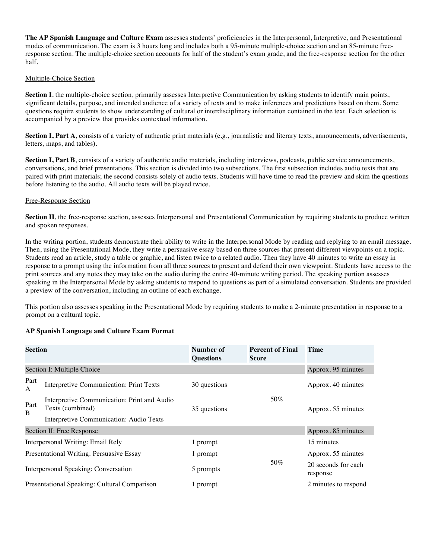**The AP Spanish Language and Culture Exam** assesses students' proficiencies in the Interpersonal, Interpretive, and Presentational modes of communication. The exam is 3 hours long and includes both a 95-minute multiple-choice section and an 85-minute freeresponse section. The multiple-choice section accounts for half of the student's exam grade, and the free-response section for the other half.

#### Multiple-Choice Section

**Section I**, the multiple-choice section, primarily assesses Interpretive Communication by asking students to identify main points, significant details, purpose, and intended audience of a variety of texts and to make inferences and predictions based on them. Some questions require students to show understanding of cultural or interdisciplinary information contained in the text. Each selection is accompanied by a preview that provides contextual information.

Section I, Part A, consists of a variety of authentic print materials (e.g., journalistic and literary texts, announcements, advertisements, letters, maps, and tables).

**Section I, Part B**, consists of a variety of authentic audio materials, including interviews, podcasts, public service announcements, conversations, and brief presentations. This section is divided into two subsections. The first subsection includes audio texts that are paired with print materials; the second consists solely of audio texts. Students will have time to read the preview and skim the questions before listening to the audio. All audio texts will be played twice.

### Free-Response Section

**Section II**, the free-response section, assesses Interpersonal and Presentational Communication by requiring students to produce written and spoken responses.

In the writing portion, students demonstrate their ability to write in the Interpersonal Mode by reading and replying to an email message. Then, using the Presentational Mode, they write a persuasive essay based on three sources that present different viewpoints on a topic. Students read an article, study a table or graphic, and listen twice to a related audio. Then they have 40 minutes to write an essay in response to a prompt using the information from all three sources to present and defend their own viewpoint. Students have access to the print sources and any notes they may take on the audio during the entire 40-minute writing period. The speaking portion assesses speaking in the Interpersonal Mode by asking students to respond to questions as part of a simulated conversation. Students are provided a preview of the conversation, including an outline of each exchange.

This portion also assesses speaking in the Presentational Mode by requiring students to make a 2-minute presentation in response to a prompt on a cultural topic.

| <b>Section</b>                               |                                                                 | Number of<br><b>Questions</b> | <b>Percent of Final</b><br><b>Score</b> | <b>Time</b>                     |
|----------------------------------------------|-----------------------------------------------------------------|-------------------------------|-----------------------------------------|---------------------------------|
|                                              | Section I: Multiple Choice                                      |                               |                                         | Approx. 95 minutes              |
| Part<br>A                                    | Interpretive Communication: Print Texts                         | 30 questions                  |                                         | Approx. 40 minutes              |
| Part<br>B                                    | Interpretive Communication: Print and Audio<br>Texts (combined) | 35 questions                  | 50%                                     | Approx. 55 minutes              |
|                                              | Interpretive Communication: Audio Texts                         |                               |                                         |                                 |
| Section II: Free Response                    |                                                                 |                               | Approx. 85 minutes                      |                                 |
| Interpersonal Writing: Email Rely            |                                                                 | 1 prompt                      |                                         | 15 minutes                      |
| Presentational Writing: Persuasive Essay     |                                                                 | 1 prompt                      |                                         | Approx. 55 minutes              |
| Interpersonal Speaking: Conversation         |                                                                 | 5 prompts                     | 50%                                     | 20 seconds for each<br>response |
| Presentational Speaking: Cultural Comparison |                                                                 | 1 prompt                      |                                         | 2 minutes to respond            |

## **AP Spanish Language and Culture Exam Format**